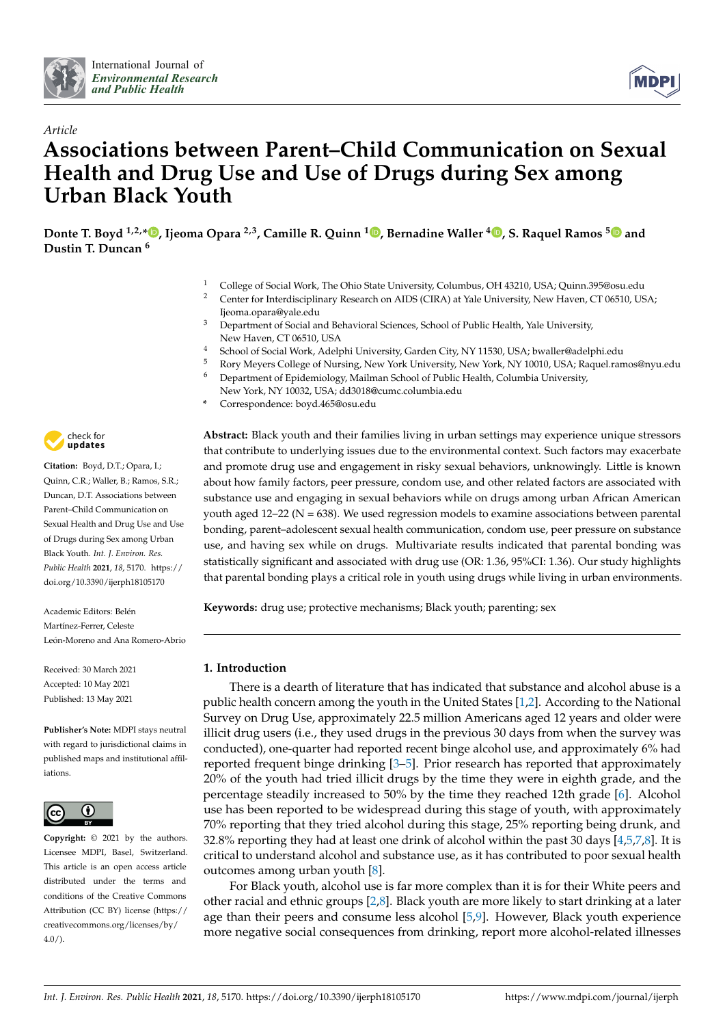



# *Article* **Associations between Parent–Child Communication on Sexual Health and Drug Use and Use of Drugs during Sex among Urban Black Youth**

**Donte T. Boyd 1,2,\* [,](https://orcid.org/0000-0001-9952-3116) Ijeoma Opara 2,3, Camille R. Quinn <sup>1</sup> [,](https://orcid.org/0000-0003-0876-1851) Bernadine Waller <sup>4</sup> [,](https://orcid.org/0000-0002-1059-301X) S. Raquel Ramos [5](https://orcid.org/0000-0003-2403-7222) and Dustin T. Duncan <sup>6</sup>**

- <sup>1</sup> College of Social Work, The Ohio State University, Columbus, OH 43210, USA; Quinn.395@osu.edu<br><sup>2</sup> Contar for Interdisciplinary Pecearch on AIDS (CIPA) at Vale University, New Hayen, CT 04510, US
- <sup>2</sup> Center for Interdisciplinary Research on AIDS (CIRA) at Yale University, New Haven, CT 06510, USA; Ijeoma.opara@yale.edu
- <sup>3</sup> Department of Social and Behavioral Sciences, School of Public Health, Yale University, New Haven, CT 06510, USA
- <sup>4</sup> School of Social Work, Adelphi University, Garden City, NY 11530, USA; bwaller@adelphi.edu
- <sup>5</sup> Rory Meyers College of Nursing, New York University, New York, NY 10010, USA; Raquel.ramos@nyu.edu
- <sup>6</sup> Department of Epidemiology, Mailman School of Public Health, Columbia University,
	- New York, NY 10032, USA; dd3018@cumc.columbia.edu
- **\*** Correspondence: boyd.465@osu.edu



**Citation:** Boyd, D.T.; Opara, I.; Quinn, C.R.; Waller, B.; Ramos, S.R.; Duncan, D.T. Associations between Parent–Child Communication on Sexual Health and Drug Use and Use of Drugs during Sex among Urban Black Youth. *Int. J. Environ. Res. Public Health* **2021**, *18*, 5170. [https://](https://doi.org/10.3390/ijerph18105170) [doi.org/10.3390/ijerph18105170](https://doi.org/10.3390/ijerph18105170)

Academic Editors: Belén Martínez-Ferrer, Celeste León-Moreno and Ana Romero-Abrio

Received: 30 March 2021 Accepted: 10 May 2021 Published: 13 May 2021

**Publisher's Note:** MDPI stays neutral with regard to jurisdictional claims in published maps and institutional affiliations.



**Copyright:** © 2021 by the authors. Licensee MDPI, Basel, Switzerland. This article is an open access article distributed under the terms and conditions of the Creative Commons Attribution (CC BY) license (https:/[/](https://creativecommons.org/licenses/by/4.0/) [creativecommons.org/licenses/by/](https://creativecommons.org/licenses/by/4.0/) 4.0/).

**Abstract:** Black youth and their families living in urban settings may experience unique stressors that contribute to underlying issues due to the environmental context. Such factors may exacerbate and promote drug use and engagement in risky sexual behaviors, unknowingly. Little is known about how family factors, peer pressure, condom use, and other related factors are associated with substance use and engaging in sexual behaviors while on drugs among urban African American youth aged  $12-22$  (N = 638). We used regression models to examine associations between parental bonding, parent–adolescent sexual health communication, condom use, peer pressure on substance use, and having sex while on drugs. Multivariate results indicated that parental bonding was statistically significant and associated with drug use (OR: 1.36, 95%CI: 1.36). Our study highlights that parental bonding plays a critical role in youth using drugs while living in urban environments.

**Keywords:** drug use; protective mechanisms; Black youth; parenting; sex

# **1. Introduction**

There is a dearth of literature that has indicated that substance and alcohol abuse is a public health concern among the youth in the United States [\[1,](#page-11-0)[2\]](#page-11-1). According to the National Survey on Drug Use, approximately 22.5 million Americans aged 12 years and older were illicit drug users (i.e., they used drugs in the previous 30 days from when the survey was conducted), one-quarter had reported recent binge alcohol use, and approximately 6% had reported frequent binge drinking [\[3](#page-11-2)[–5\]](#page-11-3). Prior research has reported that approximately 20% of the youth had tried illicit drugs by the time they were in eighth grade, and the percentage steadily increased to 50% by the time they reached 12th grade [\[6\]](#page-11-4). Alcohol use has been reported to be widespread during this stage of youth, with approximately 70% reporting that they tried alcohol during this stage, 25% reporting being drunk, and 32.8% reporting they had at least one drink of alcohol within the past 30 days  $[4,5,7,8]$  $[4,5,7,8]$  $[4,5,7,8]$  $[4,5,7,8]$ . It is critical to understand alcohol and substance use, as it has contributed to poor sexual health outcomes among urban youth [\[8\]](#page-11-7).

For Black youth, alcohol use is far more complex than it is for their White peers and other racial and ethnic groups [\[2,](#page-11-1)[8\]](#page-11-7). Black youth are more likely to start drinking at a later age than their peers and consume less alcohol [\[5](#page-11-3)[,9\]](#page-11-8). However, Black youth experience more negative social consequences from drinking, report more alcohol-related illnesses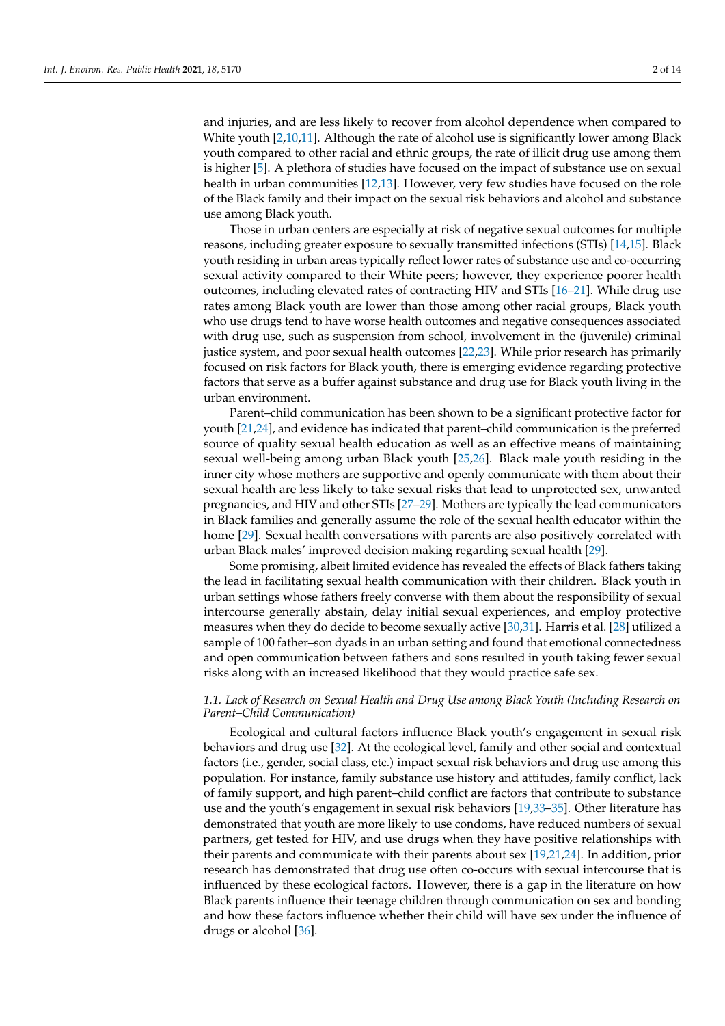and injuries, and are less likely to recover from alcohol dependence when compared to White youth [\[2](#page-11-1)[,10](#page-11-9)[,11\]](#page-11-10). Although the rate of alcohol use is significantly lower among Black youth compared to other racial and ethnic groups, the rate of illicit drug use among them is higher [\[5\]](#page-11-3). A plethora of studies have focused on the impact of substance use on sexual health in urban communities [\[12,](#page-11-11)[13\]](#page-11-12). However, very few studies have focused on the role of the Black family and their impact on the sexual risk behaviors and alcohol and substance use among Black youth.

Those in urban centers are especially at risk of negative sexual outcomes for multiple reasons, including greater exposure to sexually transmitted infections (STIs) [\[14,](#page-11-13)[15\]](#page-11-14). Black youth residing in urban areas typically reflect lower rates of substance use and co-occurring sexual activity compared to their White peers; however, they experience poorer health outcomes, including elevated rates of contracting HIV and STIs [\[16](#page-11-15)[–21\]](#page-12-0). While drug use rates among Black youth are lower than those among other racial groups, Black youth who use drugs tend to have worse health outcomes and negative consequences associated with drug use, such as suspension from school, involvement in the (juvenile) criminal justice system, and poor sexual health outcomes [\[22](#page-12-1)[,23\]](#page-12-2). While prior research has primarily focused on risk factors for Black youth, there is emerging evidence regarding protective factors that serve as a buffer against substance and drug use for Black youth living in the urban environment.

Parent–child communication has been shown to be a significant protective factor for youth [\[21](#page-12-0)[,24\]](#page-12-3), and evidence has indicated that parent–child communication is the preferred source of quality sexual health education as well as an effective means of maintaining sexual well-being among urban Black youth [\[25](#page-12-4)[,26\]](#page-12-5). Black male youth residing in the inner city whose mothers are supportive and openly communicate with them about their sexual health are less likely to take sexual risks that lead to unprotected sex, unwanted pregnancies, and HIV and other STIs [\[27–](#page-12-6)[29\]](#page-12-7). Mothers are typically the lead communicators in Black families and generally assume the role of the sexual health educator within the home [\[29\]](#page-12-7). Sexual health conversations with parents are also positively correlated with urban Black males' improved decision making regarding sexual health [\[29\]](#page-12-7).

Some promising, albeit limited evidence has revealed the effects of Black fathers taking the lead in facilitating sexual health communication with their children. Black youth in urban settings whose fathers freely converse with them about the responsibility of sexual intercourse generally abstain, delay initial sexual experiences, and employ protective measures when they do decide to become sexually active [\[30](#page-12-8)[,31\]](#page-12-9). Harris et al. [\[28\]](#page-12-10) utilized a sample of 100 father–son dyads in an urban setting and found that emotional connectedness and open communication between fathers and sons resulted in youth taking fewer sexual risks along with an increased likelihood that they would practice safe sex.

## *1.1. Lack of Research on Sexual Health and Drug Use among Black Youth (Including Research on Parent–Child Communication)*

Ecological and cultural factors influence Black youth's engagement in sexual risk behaviors and drug use [\[32\]](#page-12-11). At the ecological level, family and other social and contextual factors (i.e., gender, social class, etc.) impact sexual risk behaviors and drug use among this population. For instance, family substance use history and attitudes, family conflict, lack of family support, and high parent–child conflict are factors that contribute to substance use and the youth's engagement in sexual risk behaviors [\[19,](#page-11-16)[33](#page-12-12)[–35\]](#page-12-13). Other literature has demonstrated that youth are more likely to use condoms, have reduced numbers of sexual partners, get tested for HIV, and use drugs when they have positive relationships with their parents and communicate with their parents about sex [\[19,](#page-11-16)[21,](#page-12-0)[24\]](#page-12-3). In addition, prior research has demonstrated that drug use often co-occurs with sexual intercourse that is influenced by these ecological factors. However, there is a gap in the literature on how Black parents influence their teenage children through communication on sex and bonding and how these factors influence whether their child will have sex under the influence of drugs or alcohol [\[36\]](#page-12-14).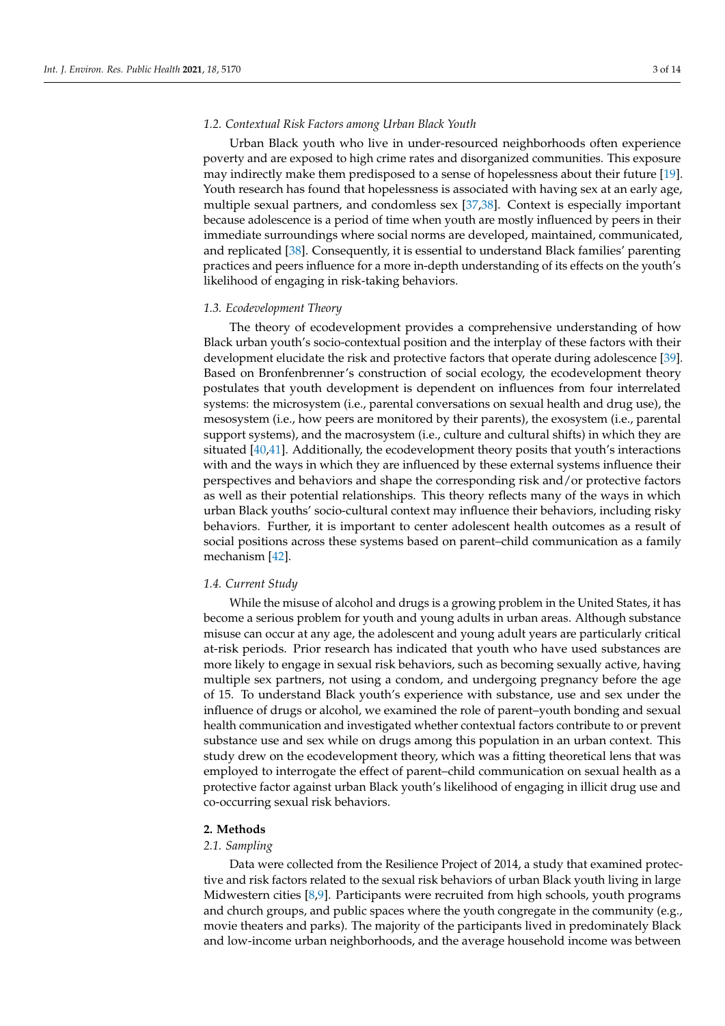## *1.2. Contextual Risk Factors among Urban Black Youth*

Urban Black youth who live in under-resourced neighborhoods often experience poverty and are exposed to high crime rates and disorganized communities. This exposure may indirectly make them predisposed to a sense of hopelessness about their future [\[19\]](#page-11-16). Youth research has found that hopelessness is associated with having sex at an early age, multiple sexual partners, and condomless sex [\[37](#page-12-15)[,38\]](#page-12-16). Context is especially important because adolescence is a period of time when youth are mostly influenced by peers in their immediate surroundings where social norms are developed, maintained, communicated, and replicated [\[38\]](#page-12-16). Consequently, it is essential to understand Black families' parenting practices and peers influence for a more in-depth understanding of its effects on the youth's likelihood of engaging in risk-taking behaviors.

#### *1.3. Ecodevelopment Theory*

The theory of ecodevelopment provides a comprehensive understanding of how Black urban youth's socio-contextual position and the interplay of these factors with their development elucidate the risk and protective factors that operate during adolescence [\[39\]](#page-12-17). Based on Bronfenbrenner's construction of social ecology, the ecodevelopment theory postulates that youth development is dependent on influences from four interrelated systems: the microsystem (i.e., parental conversations on sexual health and drug use), the mesosystem (i.e., how peers are monitored by their parents), the exosystem (i.e., parental support systems), and the macrosystem (i.e., culture and cultural shifts) in which they are situated [\[40,](#page-12-18)[41\]](#page-12-19). Additionally, the ecodevelopment theory posits that youth's interactions with and the ways in which they are influenced by these external systems influence their perspectives and behaviors and shape the corresponding risk and/or protective factors as well as their potential relationships. This theory reflects many of the ways in which urban Black youths' socio-cultural context may influence their behaviors, including risky behaviors. Further, it is important to center adolescent health outcomes as a result of social positions across these systems based on parent–child communication as a family mechanism [\[42\]](#page-12-20).

#### *1.4. Current Study*

While the misuse of alcohol and drugs is a growing problem in the United States, it has become a serious problem for youth and young adults in urban areas. Although substance misuse can occur at any age, the adolescent and young adult years are particularly critical at-risk periods. Prior research has indicated that youth who have used substances are more likely to engage in sexual risk behaviors, such as becoming sexually active, having multiple sex partners, not using a condom, and undergoing pregnancy before the age of 15. To understand Black youth's experience with substance, use and sex under the influence of drugs or alcohol, we examined the role of parent–youth bonding and sexual health communication and investigated whether contextual factors contribute to or prevent substance use and sex while on drugs among this population in an urban context. This study drew on the ecodevelopment theory, which was a fitting theoretical lens that was employed to interrogate the effect of parent–child communication on sexual health as a protective factor against urban Black youth's likelihood of engaging in illicit drug use and co-occurring sexual risk behaviors.

#### **2. Methods**

#### *2.1. Sampling*

Data were collected from the Resilience Project of 2014, a study that examined protective and risk factors related to the sexual risk behaviors of urban Black youth living in large Midwestern cities [\[8,](#page-11-7)[9\]](#page-11-8). Participants were recruited from high schools, youth programs and church groups, and public spaces where the youth congregate in the community (e.g., movie theaters and parks). The majority of the participants lived in predominately Black and low-income urban neighborhoods, and the average household income was between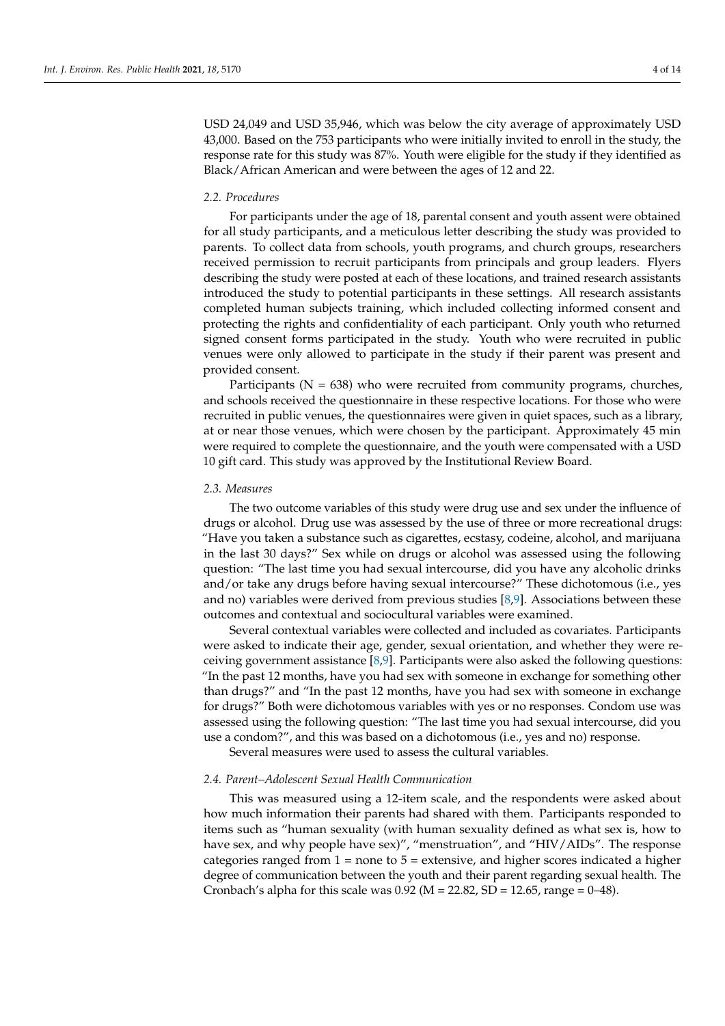USD 24,049 and USD 35,946, which was below the city average of approximately USD 43,000. Based on the 753 participants who were initially invited to enroll in the study, the response rate for this study was 87%. Youth were eligible for the study if they identified as Black/African American and were between the ages of 12 and 22.

#### *2.2. Procedures*

For participants under the age of 18, parental consent and youth assent were obtained for all study participants, and a meticulous letter describing the study was provided to parents. To collect data from schools, youth programs, and church groups, researchers received permission to recruit participants from principals and group leaders. Flyers describing the study were posted at each of these locations, and trained research assistants introduced the study to potential participants in these settings. All research assistants completed human subjects training, which included collecting informed consent and protecting the rights and confidentiality of each participant. Only youth who returned signed consent forms participated in the study. Youth who were recruited in public venues were only allowed to participate in the study if their parent was present and provided consent.

Participants ( $N = 638$ ) who were recruited from community programs, churches, and schools received the questionnaire in these respective locations. For those who were recruited in public venues, the questionnaires were given in quiet spaces, such as a library, at or near those venues, which were chosen by the participant. Approximately 45 min were required to complete the questionnaire, and the youth were compensated with a USD 10 gift card. This study was approved by the Institutional Review Board.

#### *2.3. Measures*

The two outcome variables of this study were drug use and sex under the influence of drugs or alcohol. Drug use was assessed by the use of three or more recreational drugs: "Have you taken a substance such as cigarettes, ecstasy, codeine, alcohol, and marijuana in the last 30 days?" Sex while on drugs or alcohol was assessed using the following question: "The last time you had sexual intercourse, did you have any alcoholic drinks and/or take any drugs before having sexual intercourse?" These dichotomous (i.e., yes and no) variables were derived from previous studies [\[8](#page-11-7)[,9\]](#page-11-8). Associations between these outcomes and contextual and sociocultural variables were examined.

Several contextual variables were collected and included as covariates. Participants were asked to indicate their age, gender, sexual orientation, and whether they were receiving government assistance [\[8](#page-11-7)[,9\]](#page-11-8). Participants were also asked the following questions: "In the past 12 months, have you had sex with someone in exchange for something other than drugs?" and "In the past 12 months, have you had sex with someone in exchange for drugs?" Both were dichotomous variables with yes or no responses. Condom use was assessed using the following question: "The last time you had sexual intercourse, did you use a condom?", and this was based on a dichotomous (i.e., yes and no) response.

Several measures were used to assess the cultural variables.

# *2.4. Parent–Adolescent Sexual Health Communication*

This was measured using a 12-item scale, and the respondents were asked about how much information their parents had shared with them. Participants responded to items such as "human sexuality (with human sexuality defined as what sex is, how to have sex, and why people have sex)", "menstruation", and "HIV/AIDs". The response categories ranged from  $1 =$  none to  $5 =$  extensive, and higher scores indicated a higher degree of communication between the youth and their parent regarding sexual health. The Cronbach's alpha for this scale was  $0.92$  (M = 22.82, SD = 12.65, range = 0–48).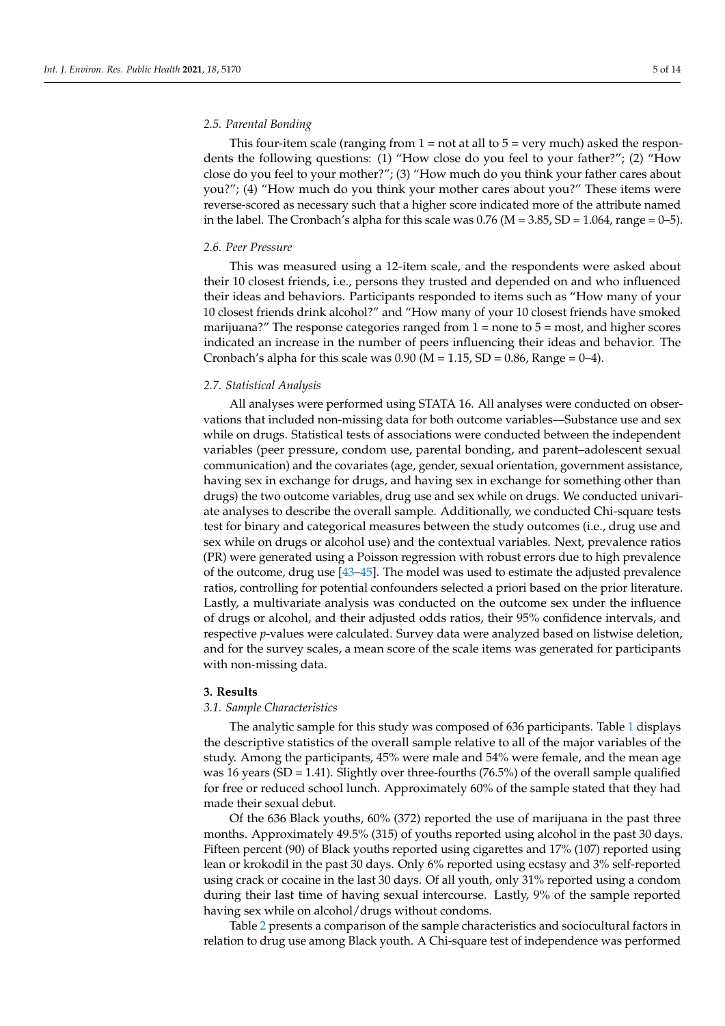## *2.5. Parental Bonding*

This four-item scale (ranging from  $1 =$  not at all to  $5 =$  very much) asked the respondents the following questions: (1) "How close do you feel to your father?"; (2) "How close do you feel to your mother?"; (3) "How much do you think your father cares about you?"; (4) "How much do you think your mother cares about you?" These items were reverse-scored as necessary such that a higher score indicated more of the attribute named in the label. The Cronbach's alpha for this scale was  $0.76$  (M = 3.85, SD = 1.064, range = 0–5).

## *2.6. Peer Pressure*

This was measured using a 12-item scale, and the respondents were asked about their 10 closest friends, i.e., persons they trusted and depended on and who influenced their ideas and behaviors. Participants responded to items such as "How many of your 10 closest friends drink alcohol?" and "How many of your 10 closest friends have smoked marijuana?" The response categories ranged from  $1 =$  none to  $5 =$  most, and higher scores indicated an increase in the number of peers influencing their ideas and behavior. The Cronbach's alpha for this scale was  $0.90$  (M = 1.15, SD = 0.86, Range = 0–4).

#### *2.7. Statistical Analysis*

All analyses were performed using STATA 16. All analyses were conducted on observations that included non-missing data for both outcome variables—Substance use and sex while on drugs. Statistical tests of associations were conducted between the independent variables (peer pressure, condom use, parental bonding, and parent–adolescent sexual communication) and the covariates (age, gender, sexual orientation, government assistance, having sex in exchange for drugs, and having sex in exchange for something other than drugs) the two outcome variables, drug use and sex while on drugs. We conducted univariate analyses to describe the overall sample. Additionally, we conducted Chi-square tests test for binary and categorical measures between the study outcomes (i.e., drug use and sex while on drugs or alcohol use) and the contextual variables. Next, prevalence ratios (PR) were generated using a Poisson regression with robust errors due to high prevalence of the outcome, drug use [\[43](#page-12-21)[–45\]](#page-12-22). The model was used to estimate the adjusted prevalence ratios, controlling for potential confounders selected a priori based on the prior literature. Lastly, a multivariate analysis was conducted on the outcome sex under the influence of drugs or alcohol, and their adjusted odds ratios, their 95% confidence intervals, and respective *p*-values were calculated. Survey data were analyzed based on listwise deletion, and for the survey scales, a mean score of the scale items was generated for participants with non-missing data.

## **3. Results**

#### *3.1. Sample Characteristics*

The analytic sample for this study was composed of 636 participants. Table [1](#page-5-0) displays the descriptive statistics of the overall sample relative to all of the major variables of the study. Among the participants, 45% were male and 54% were female, and the mean age was 16 years (SD = 1.41). Slightly over three-fourths  $(76.5%)$  of the overall sample qualified for free or reduced school lunch. Approximately 60% of the sample stated that they had made their sexual debut.

Of the 636 Black youths, 60% (372) reported the use of marijuana in the past three months. Approximately 49.5% (315) of youths reported using alcohol in the past 30 days. Fifteen percent (90) of Black youths reported using cigarettes and 17% (107) reported using lean or krokodil in the past 30 days. Only 6% reported using ecstasy and 3% self-reported using crack or cocaine in the last 30 days. Of all youth, only 31% reported using a condom during their last time of having sexual intercourse. Lastly, 9% of the sample reported having sex while on alcohol/drugs without condoms.

Table [2](#page-5-1) presents a comparison of the sample characteristics and sociocultural factors in relation to drug use among Black youth. A Chi-square test of independence was performed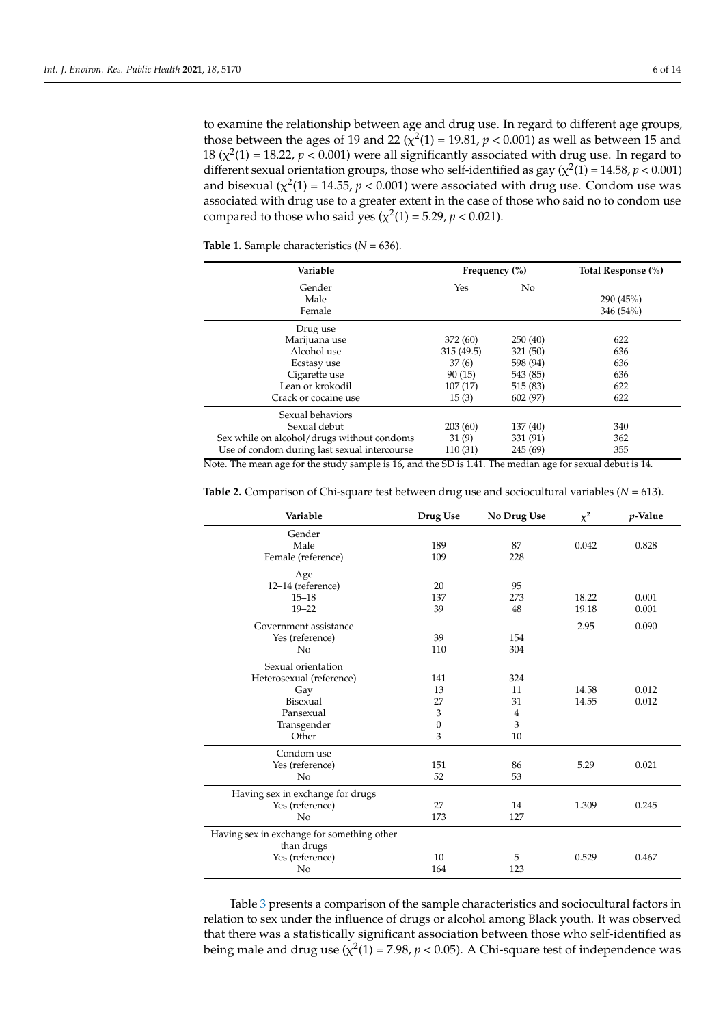to examine the relationship between age and drug use. In regard to different age groups, those between the ages of 19 and 22 ( $\chi^2(1)$  = 19.81,  $p < 0.001$ ) as well as between 15 and 18 ( $\chi^2(1)$  = 18.22,  $p < 0.001$ ) were all significantly associated with drug use. In regard to different sexual orientation groups, those who self-identified as gay  $(\chi^2(1) = 14.58, p < 0.001)$ and bisexual  $(\chi^2(1) = 14.55, p < 0.001)$  were associated with drug use. Condom use was associated with drug use to a greater extent in the case of those who said no to condom use compared to those who said yes ( $\chi^2(1) = 5.29$ ,  $p < 0.021$ ).

<span id="page-5-0"></span>**Table 1.** Sample characteristics (*N* = 636).

| Variable                                     | Frequency $(\%)$ |                | Total Response (%) |
|----------------------------------------------|------------------|----------------|--------------------|
| Gender                                       | Yes              | N <sub>o</sub> |                    |
| Male                                         |                  |                | 290(45%)           |
| Female                                       |                  |                | 346 (54%)          |
| Drug use                                     |                  |                |                    |
| Marijuana use                                | 372 (60)         | 250(40)        | 622                |
| Alcohol use                                  | 315(49.5)        | 321 (50)       | 636                |
| Ecstasy use                                  | 37(6)            | 598 (94)       | 636                |
| Cigarette use                                | 90(15)           | 543 (85)       | 636                |
| Lean or krokodil                             | 107(17)          | 515 (83)       | 622                |
| Crack or cocaine use                         | 15(3)            | 602 (97)       | 622                |
| Sexual behaviors                             |                  |                |                    |
| Sexual debut                                 | 203(60)          | 137(40)        | 340                |
| Sex while on alcohol/drugs without condoms   | 31(9)            | 331 (91)       | 362                |
| Use of condom during last sexual intercourse | 110 (31)         | 245 (69)       | 355                |

Note. The mean age for the study sample is 16, and the SD is 1.41. The median age for sexual debut is 14.

| Variable                                   | Drug Use         | No Drug Use    | $\chi^2$ | <i>p</i> -Value |
|--------------------------------------------|------------------|----------------|----------|-----------------|
| Gender                                     |                  |                |          |                 |
| Male                                       | 189              | 87             | 0.042    | 0.828           |
| Female (reference)                         | 109              | 228            |          |                 |
| Age                                        |                  |                |          |                 |
| 12-14 (reference)                          | 20               | 95             |          |                 |
| $15 - 18$                                  | 137              | 273            | 18.22    | 0.001           |
| $19 - 22$                                  | 39               | 48             | 19.18    | 0.001           |
| Government assistance                      |                  |                | 2.95     | 0.090           |
| Yes (reference)                            | 39               | 154            |          |                 |
| N <sub>o</sub>                             | 110              | 304            |          |                 |
| Sexual orientation                         |                  |                |          |                 |
| Heterosexual (reference)                   | 141              | 324            |          |                 |
| Gay                                        | 13               | 11             | 14.58    | 0.012           |
| Bisexual                                   | 27               | 31             | 14.55    | 0.012           |
| Pansexual                                  | 3                | $\overline{4}$ |          |                 |
| Transgender                                | $\boldsymbol{0}$ | 3              |          |                 |
| Other                                      | 3                | 10             |          |                 |
| Condom use                                 |                  |                |          |                 |
| Yes (reference)                            | 151              | 86             | 5.29     | 0.021           |
| N <sub>o</sub>                             | 52               | 53             |          |                 |
| Having sex in exchange for drugs           |                  |                |          |                 |
| Yes (reference)                            | 27               | 14             | 1.309    | 0.245           |
| N <sub>o</sub>                             | 173              | 127            |          |                 |
| Having sex in exchange for something other |                  |                |          |                 |
| than drugs                                 |                  |                |          |                 |
| Yes (reference)                            | 10               | 5              | 0.529    | 0.467           |
| No                                         | 164              | 123            |          |                 |

<span id="page-5-1"></span>**Table 2.** Comparison of Chi-square test between drug use and sociocultural variables (*N* = 613).

Table [3](#page-6-0) presents a comparison of the sample characteristics and sociocultural factors in relation to sex under the influence of drugs or alcohol among Black youth. It was observed that there was a statistically significant association between those who self-identified as being male and drug use ( $\chi^2(1)$  = 7.98,  $p$  < 0.05). A Chi-square test of independence was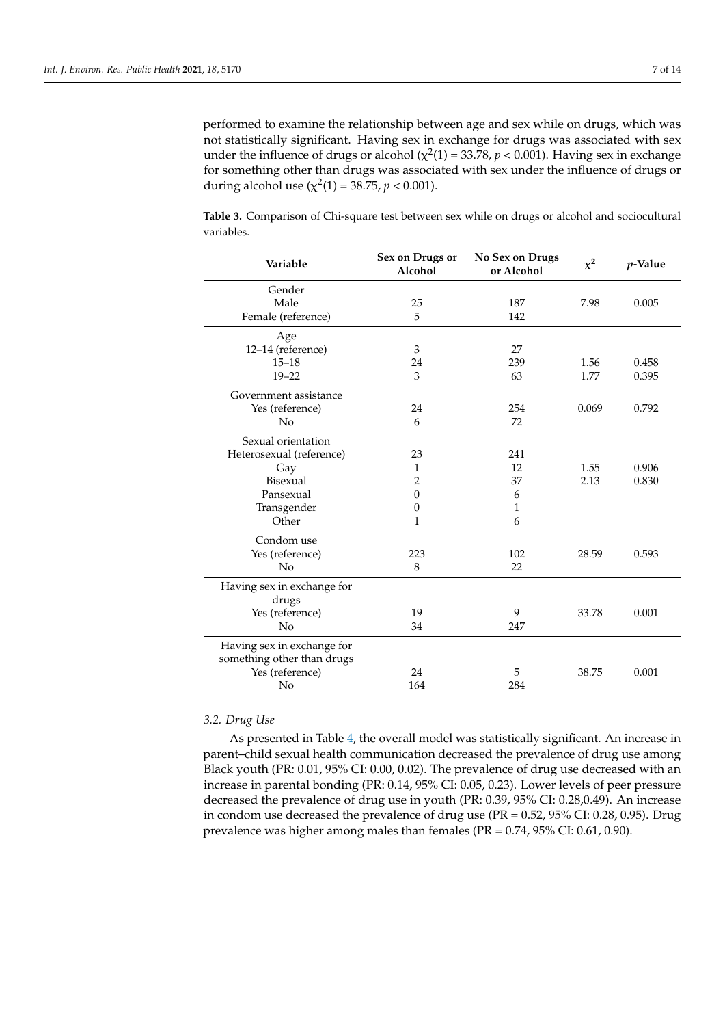performed to examine the relationship between age and sex while on drugs, which was not statistically significant. Having sex in exchange for drugs was associated with sex under the influence of drugs or alcohol ( $\chi^2(1)$  = 33.78,  $p < 0.001$ ). Having sex in exchange for something other than drugs was associated with sex under the influence of drugs or during alcohol use  $(\chi^2(1) = 38.75, p < 0.001)$ .

<span id="page-6-0"></span>**Table 3.** Comparison of Chi-square test between sex while on drugs or alcohol and sociocultural variables.

| Variable                                                 | Sex on Drugs or<br>Alcohol | No Sex on Drugs<br>or Alcohol | $\chi^2$ | $p$ -Value |
|----------------------------------------------------------|----------------------------|-------------------------------|----------|------------|
| Gender                                                   |                            |                               |          |            |
| Male                                                     | 25                         | 187                           | 7.98     | 0.005      |
| Female (reference)                                       | 5                          | 142                           |          |            |
| Age                                                      |                            |                               |          |            |
| 12-14 (reference)                                        | 3                          | 27                            |          |            |
| $15 - 18$                                                | 24                         | 239                           | 1.56     | 0.458      |
| $19 - 22$                                                | 3                          | 63                            | 1.77     | 0.395      |
| Government assistance                                    |                            |                               |          |            |
| Yes (reference)                                          | 24                         | 254                           | 0.069    | 0.792      |
| No                                                       | 6                          | 72                            |          |            |
| Sexual orientation                                       |                            |                               |          |            |
| Heterosexual (reference)                                 | 23                         | 241                           |          |            |
| Gay                                                      | $\mathbf{1}$               | 12                            | 1.55     | 0.906      |
| Bisexual                                                 | $\overline{2}$             | 37                            | 2.13     | 0.830      |
| Pansexual                                                | $\theta$                   | 6                             |          |            |
| Transgender                                              | $\Omega$                   | 1                             |          |            |
| Other                                                    | $\mathbf{1}$               | 6                             |          |            |
| Condom use                                               |                            |                               |          |            |
| Yes (reference)                                          | 223                        | 102                           | 28.59    | 0.593      |
| No                                                       | 8                          | 22                            |          |            |
| Having sex in exchange for<br>drugs                      |                            |                               |          |            |
| Yes (reference)                                          | 19                         | 9                             | 33.78    | 0.001      |
| No                                                       | 34                         | 247                           |          |            |
| Having sex in exchange for<br>something other than drugs |                            |                               |          |            |
| Yes (reference)                                          | 24                         | 5                             | 38.75    | 0.001      |
| No                                                       | 164                        | 284                           |          |            |

## *3.2. Drug Use*

As presented in Table [4,](#page-7-0) the overall model was statistically significant. An increase in parent–child sexual health communication decreased the prevalence of drug use among Black youth (PR: 0.01, 95% CI: 0.00, 0.02). The prevalence of drug use decreased with an increase in parental bonding (PR: 0.14, 95% CI: 0.05, 0.23). Lower levels of peer pressure decreased the prevalence of drug use in youth (PR: 0.39, 95% CI: 0.28,0.49). An increase in condom use decreased the prevalence of drug use (PR = 0.52, 95% CI: 0.28, 0.95). Drug prevalence was higher among males than females (PR = 0.74, 95% CI: 0.61, 0.90).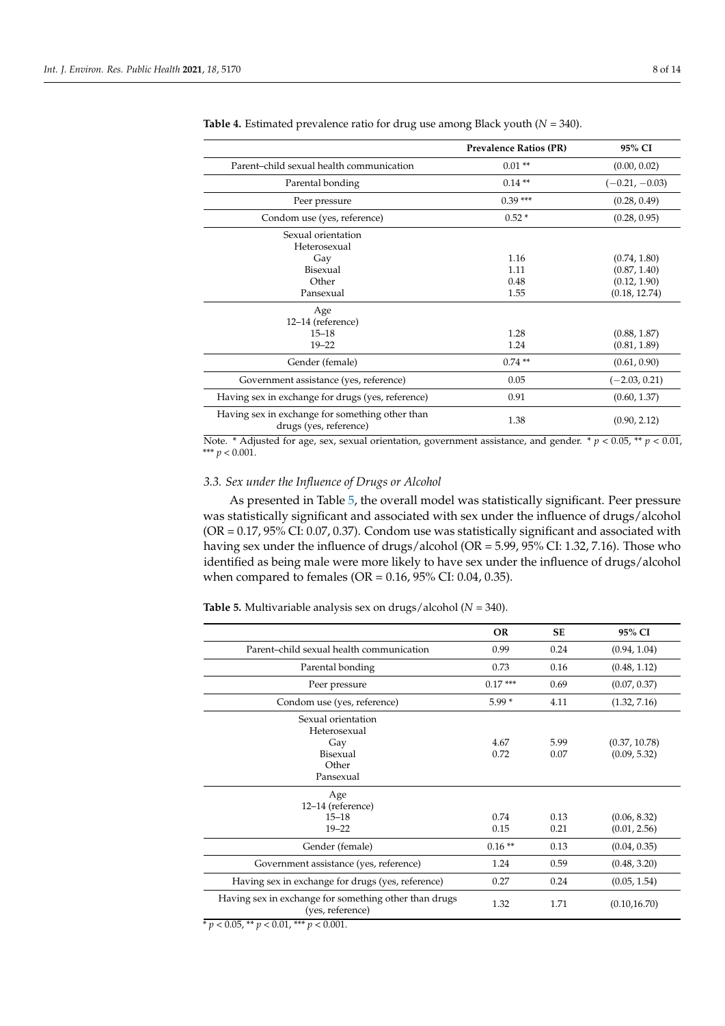|                                                                           | <b>Prevalence Ratios (PR)</b> | 95% CI           |
|---------------------------------------------------------------------------|-------------------------------|------------------|
| Parent-child sexual health communication                                  | $0.01**$                      | (0.00, 0.02)     |
| Parental bonding                                                          | $0.14**$                      | $(-0.21, -0.03)$ |
| Peer pressure                                                             | $0.39***$                     | (0.28, 0.49)     |
| Condom use (yes, reference)                                               | $0.52*$                       | (0.28, 0.95)     |
| Sexual orientation<br>Heterosexual                                        |                               |                  |
| Gay                                                                       | 1.16                          | (0.74, 1.80)     |
| Bisexual                                                                  | 1.11                          | (0.87, 1.40)     |
| Other                                                                     | 0.48                          | (0.12, 1.90)     |
| Pansexual                                                                 | 1.55                          | (0.18, 12.74)    |
| Age<br>12-14 (reference)                                                  |                               |                  |
| $15 - 18$                                                                 | 1.28                          | (0.88, 1.87)     |
| $19 - 22$                                                                 | 1.24                          | (0.81, 1.89)     |
| Gender (female)                                                           | $0.74**$                      | (0.61, 0.90)     |
| Government assistance (yes, reference)                                    | 0.05                          | $(-2.03, 0.21)$  |
| Having sex in exchange for drugs (yes, reference)                         | 0.91                          | (0.60, 1.37)     |
| Having sex in exchange for something other than<br>drugs (yes, reference) | 1.38                          | (0.90, 2.12)     |

<span id="page-7-0"></span>

| Table 4. Estimated prevalence ratio for drug use among Black youth $(N = 340)$ . |  |  |  |  |
|----------------------------------------------------------------------------------|--|--|--|--|
|----------------------------------------------------------------------------------|--|--|--|--|

Note. \* Adjusted for age, sex, sexual orientation, government assistance, and gender. \*  $p < 0.05$ , \*\*  $p < 0.01$ , \*\*\* *p* < 0.001.

# *3.3. Sex under the Influence of Drugs or Alcohol*

As presented in Table [5,](#page-7-1) the overall model was statistically significant. Peer pressure was statistically significant and associated with sex under the influence of drugs/alcohol (OR = 0.17, 95% CI: 0.07, 0.37). Condom use was statistically significant and associated with having sex under the influence of drugs/alcohol (OR = 5.99, 95% CI: 1.32, 7.16). Those who identified as being male were more likely to have sex under the influence of drugs/alcohol when compared to females (OR = 0.16, 95% CI: 0.04, 0.35).

<span id="page-7-1"></span>**Table 5.** Multivariable analysis sex on drugs/alcohol (*N* = 340).

| <b>OR</b> | <b>SE</b> | 95% CI        |
|-----------|-----------|---------------|
| 0.99      | 0.24      | (0.94, 1.04)  |
| 0.73      | 0.16      | (0.48, 1.12)  |
| $0.17***$ | 0.69      | (0.07, 0.37)  |
| $5.99*$   | 4.11      | (1.32, 7.16)  |
|           |           |               |
| 4.67      | 5.99      | (0.37, 10.78) |
| 0.72      | 0.07      | (0.09, 5.32)  |
|           |           |               |
|           |           |               |
|           |           |               |
|           |           |               |
| 0.74      | 0.13      | (0.06, 8.32)  |
| 0.15      | 0.21      | (0.01, 2.56)  |
| $0.16**$  | 0.13      | (0.04, 0.35)  |
| 1.24      | 0.59      | (0.48, 3.20)  |
| 0.27      | 0.24      | (0.05, 1.54)  |
| 1.32      | 1.71      | (0.10, 16.70) |
|           |           |               |
|           |           |               |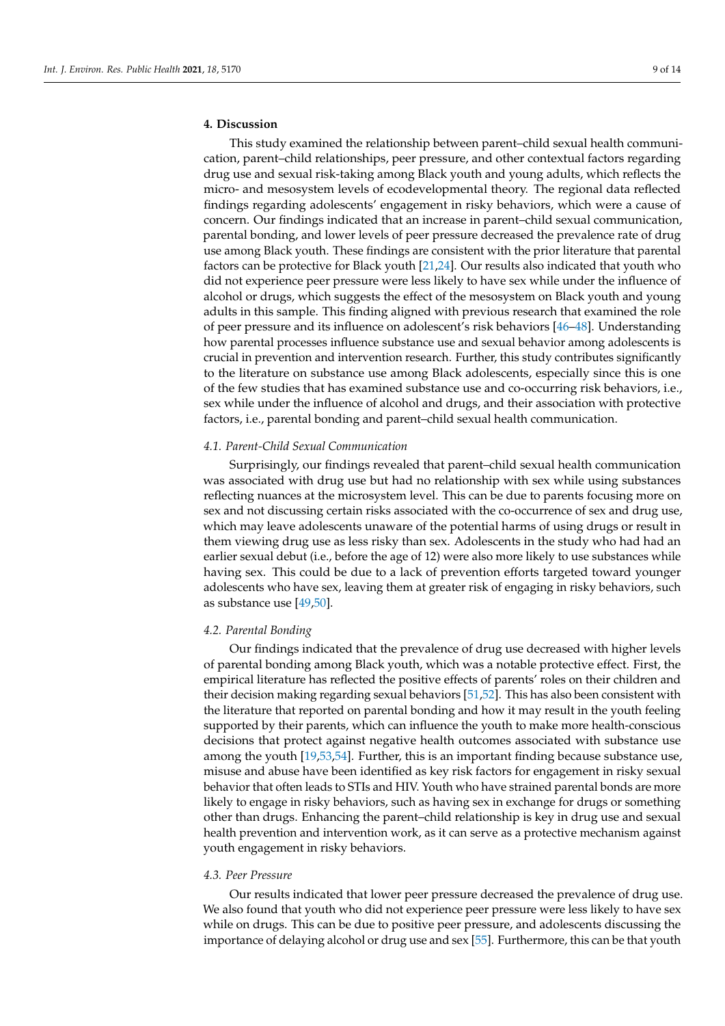# **4. Discussion**

This study examined the relationship between parent–child sexual health communication, parent–child relationships, peer pressure, and other contextual factors regarding drug use and sexual risk-taking among Black youth and young adults, which reflects the micro- and mesosystem levels of ecodevelopmental theory. The regional data reflected findings regarding adolescents' engagement in risky behaviors, which were a cause of concern. Our findings indicated that an increase in parent–child sexual communication, parental bonding, and lower levels of peer pressure decreased the prevalence rate of drug use among Black youth. These findings are consistent with the prior literature that parental factors can be protective for Black youth [\[21,](#page-12-0)[24\]](#page-12-3). Our results also indicated that youth who did not experience peer pressure were less likely to have sex while under the influence of alcohol or drugs, which suggests the effect of the mesosystem on Black youth and young adults in this sample. This finding aligned with previous research that examined the role of peer pressure and its influence on adolescent's risk behaviors [\[46](#page-12-23)[–48\]](#page-13-0). Understanding how parental processes influence substance use and sexual behavior among adolescents is crucial in prevention and intervention research. Further, this study contributes significantly to the literature on substance use among Black adolescents, especially since this is one of the few studies that has examined substance use and co-occurring risk behaviors, i.e., sex while under the influence of alcohol and drugs, and their association with protective factors, i.e., parental bonding and parent–child sexual health communication.

## *4.1. Parent-Child Sexual Communication*

Surprisingly, our findings revealed that parent–child sexual health communication was associated with drug use but had no relationship with sex while using substances reflecting nuances at the microsystem level. This can be due to parents focusing more on sex and not discussing certain risks associated with the co-occurrence of sex and drug use, which may leave adolescents unaware of the potential harms of using drugs or result in them viewing drug use as less risky than sex. Adolescents in the study who had had an earlier sexual debut (i.e., before the age of 12) were also more likely to use substances while having sex. This could be due to a lack of prevention efforts targeted toward younger adolescents who have sex, leaving them at greater risk of engaging in risky behaviors, such as substance use [\[49](#page-13-1)[,50\]](#page-13-2).

#### *4.2. Parental Bonding*

Our findings indicated that the prevalence of drug use decreased with higher levels of parental bonding among Black youth, which was a notable protective effect. First, the empirical literature has reflected the positive effects of parents' roles on their children and their decision making regarding sexual behaviors [\[51](#page-13-3)[,52\]](#page-13-4). This has also been consistent with the literature that reported on parental bonding and how it may result in the youth feeling supported by their parents, which can influence the youth to make more health-conscious decisions that protect against negative health outcomes associated with substance use among the youth [\[19,](#page-11-16)[53,](#page-13-5)[54\]](#page-13-6). Further, this is an important finding because substance use, misuse and abuse have been identified as key risk factors for engagement in risky sexual behavior that often leads to STIs and HIV. Youth who have strained parental bonds are more likely to engage in risky behaviors, such as having sex in exchange for drugs or something other than drugs. Enhancing the parent–child relationship is key in drug use and sexual health prevention and intervention work, as it can serve as a protective mechanism against youth engagement in risky behaviors.

## *4.3. Peer Pressure*

Our results indicated that lower peer pressure decreased the prevalence of drug use. We also found that youth who did not experience peer pressure were less likely to have sex while on drugs. This can be due to positive peer pressure, and adolescents discussing the importance of delaying alcohol or drug use and sex [\[55\]](#page-13-7). Furthermore, this can be that youth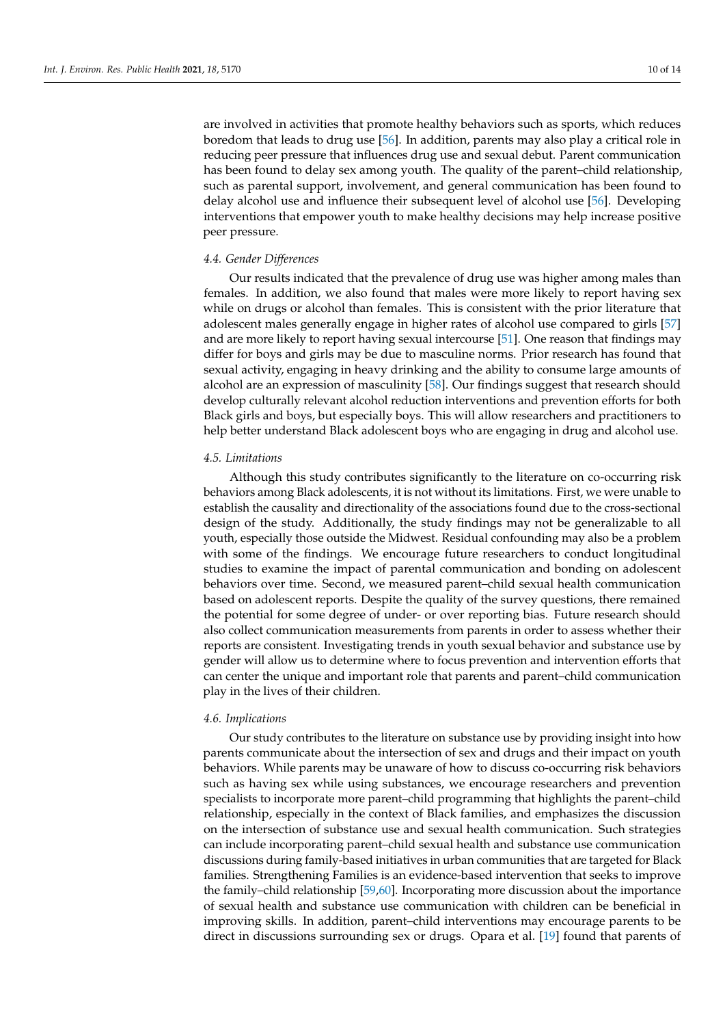are involved in activities that promote healthy behaviors such as sports, which reduces boredom that leads to drug use [\[56\]](#page-13-8). In addition, parents may also play a critical role in reducing peer pressure that influences drug use and sexual debut. Parent communication has been found to delay sex among youth. The quality of the parent–child relationship, such as parental support, involvement, and general communication has been found to delay alcohol use and influence their subsequent level of alcohol use [\[56\]](#page-13-8). Developing interventions that empower youth to make healthy decisions may help increase positive peer pressure.

## *4.4. Gender Differences*

Our results indicated that the prevalence of drug use was higher among males than females. In addition, we also found that males were more likely to report having sex while on drugs or alcohol than females. This is consistent with the prior literature that adolescent males generally engage in higher rates of alcohol use compared to girls [\[57\]](#page-13-9) and are more likely to report having sexual intercourse [\[51\]](#page-13-3). One reason that findings may differ for boys and girls may be due to masculine norms. Prior research has found that sexual activity, engaging in heavy drinking and the ability to consume large amounts of alcohol are an expression of masculinity [\[58\]](#page-13-10). Our findings suggest that research should develop culturally relevant alcohol reduction interventions and prevention efforts for both Black girls and boys, but especially boys. This will allow researchers and practitioners to help better understand Black adolescent boys who are engaging in drug and alcohol use.

### *4.5. Limitations*

Although this study contributes significantly to the literature on co-occurring risk behaviors among Black adolescents, it is not without its limitations. First, we were unable to establish the causality and directionality of the associations found due to the cross-sectional design of the study. Additionally, the study findings may not be generalizable to all youth, especially those outside the Midwest. Residual confounding may also be a problem with some of the findings. We encourage future researchers to conduct longitudinal studies to examine the impact of parental communication and bonding on adolescent behaviors over time. Second, we measured parent–child sexual health communication based on adolescent reports. Despite the quality of the survey questions, there remained the potential for some degree of under- or over reporting bias. Future research should also collect communication measurements from parents in order to assess whether their reports are consistent. Investigating trends in youth sexual behavior and substance use by gender will allow us to determine where to focus prevention and intervention efforts that can center the unique and important role that parents and parent–child communication play in the lives of their children.

## *4.6. Implications*

Our study contributes to the literature on substance use by providing insight into how parents communicate about the intersection of sex and drugs and their impact on youth behaviors. While parents may be unaware of how to discuss co-occurring risk behaviors such as having sex while using substances, we encourage researchers and prevention specialists to incorporate more parent–child programming that highlights the parent–child relationship, especially in the context of Black families, and emphasizes the discussion on the intersection of substance use and sexual health communication. Such strategies can include incorporating parent–child sexual health and substance use communication discussions during family-based initiatives in urban communities that are targeted for Black families. Strengthening Families is an evidence-based intervention that seeks to improve the family–child relationship [\[59,](#page-13-11)[60\]](#page-13-12). Incorporating more discussion about the importance of sexual health and substance use communication with children can be beneficial in improving skills. In addition, parent–child interventions may encourage parents to be direct in discussions surrounding sex or drugs. Opara et al. [\[19\]](#page-11-16) found that parents of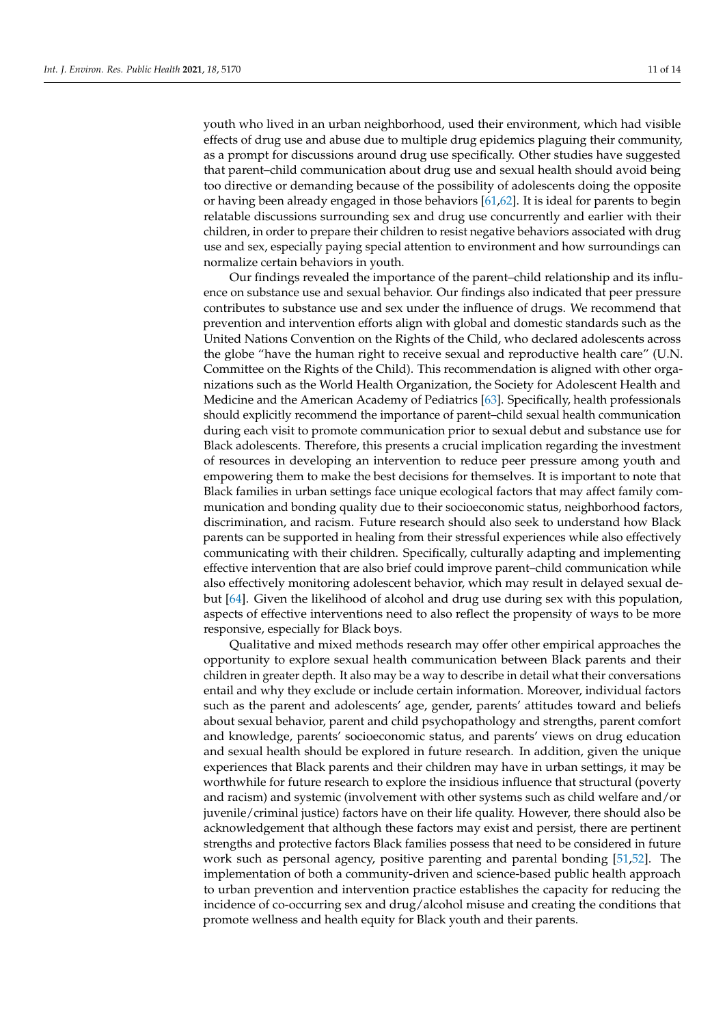youth who lived in an urban neighborhood, used their environment, which had visible effects of drug use and abuse due to multiple drug epidemics plaguing their community, as a prompt for discussions around drug use specifically. Other studies have suggested that parent–child communication about drug use and sexual health should avoid being too directive or demanding because of the possibility of adolescents doing the opposite or having been already engaged in those behaviors [\[61](#page-13-13)[,62\]](#page-13-14). It is ideal for parents to begin relatable discussions surrounding sex and drug use concurrently and earlier with their children, in order to prepare their children to resist negative behaviors associated with drug use and sex, especially paying special attention to environment and how surroundings can normalize certain behaviors in youth.

Our findings revealed the importance of the parent–child relationship and its influence on substance use and sexual behavior. Our findings also indicated that peer pressure contributes to substance use and sex under the influence of drugs. We recommend that prevention and intervention efforts align with global and domestic standards such as the United Nations Convention on the Rights of the Child, who declared adolescents across the globe "have the human right to receive sexual and reproductive health care" (U.N. Committee on the Rights of the Child). This recommendation is aligned with other organizations such as the World Health Organization, the Society for Adolescent Health and Medicine and the American Academy of Pediatrics [\[63\]](#page-13-15). Specifically, health professionals should explicitly recommend the importance of parent–child sexual health communication during each visit to promote communication prior to sexual debut and substance use for Black adolescents. Therefore, this presents a crucial implication regarding the investment of resources in developing an intervention to reduce peer pressure among youth and empowering them to make the best decisions for themselves. It is important to note that Black families in urban settings face unique ecological factors that may affect family communication and bonding quality due to their socioeconomic status, neighborhood factors, discrimination, and racism. Future research should also seek to understand how Black parents can be supported in healing from their stressful experiences while also effectively communicating with their children. Specifically, culturally adapting and implementing effective intervention that are also brief could improve parent–child communication while also effectively monitoring adolescent behavior, which may result in delayed sexual debut [\[64\]](#page-13-16). Given the likelihood of alcohol and drug use during sex with this population, aspects of effective interventions need to also reflect the propensity of ways to be more responsive, especially for Black boys.

Qualitative and mixed methods research may offer other empirical approaches the opportunity to explore sexual health communication between Black parents and their children in greater depth. It also may be a way to describe in detail what their conversations entail and why they exclude or include certain information. Moreover, individual factors such as the parent and adolescents' age, gender, parents' attitudes toward and beliefs about sexual behavior, parent and child psychopathology and strengths, parent comfort and knowledge, parents' socioeconomic status, and parents' views on drug education and sexual health should be explored in future research. In addition, given the unique experiences that Black parents and their children may have in urban settings, it may be worthwhile for future research to explore the insidious influence that structural (poverty and racism) and systemic (involvement with other systems such as child welfare and/or juvenile/criminal justice) factors have on their life quality. However, there should also be acknowledgement that although these factors may exist and persist, there are pertinent strengths and protective factors Black families possess that need to be considered in future work such as personal agency, positive parenting and parental bonding [\[51,](#page-13-3)[52\]](#page-13-4). The implementation of both a community-driven and science-based public health approach to urban prevention and intervention practice establishes the capacity for reducing the incidence of co-occurring sex and drug/alcohol misuse and creating the conditions that promote wellness and health equity for Black youth and their parents.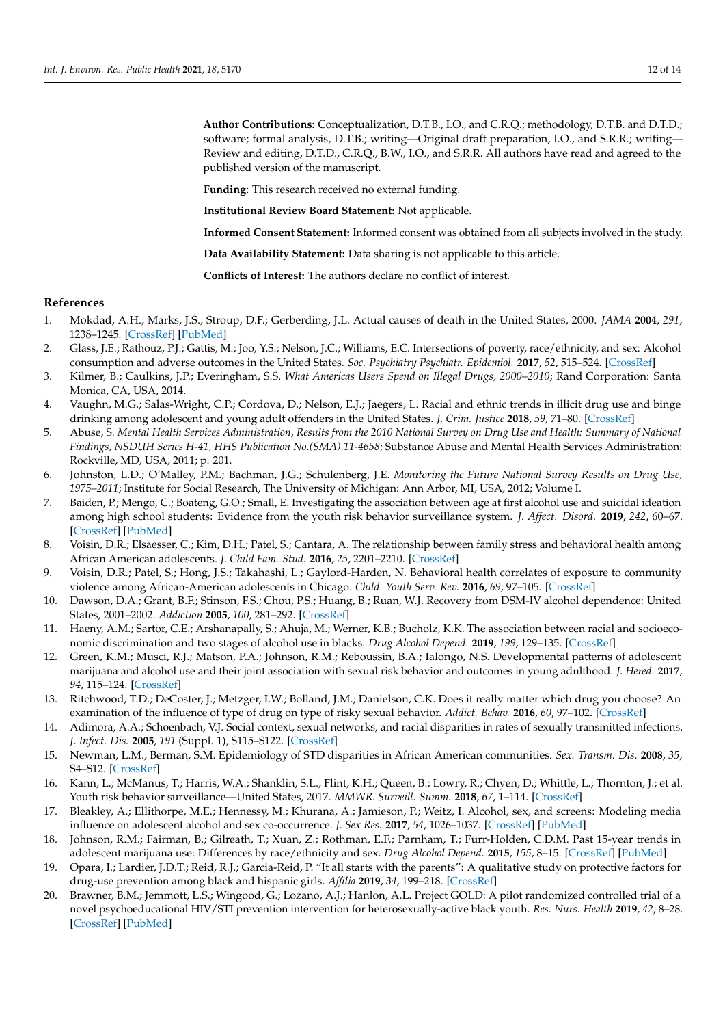**Author Contributions:** Conceptualization, D.T.B., I.O., and C.R.Q.; methodology, D.T.B. and D.T.D.; software; formal analysis, D.T.B.; writing—Original draft preparation, I.O., and S.R.R.; writing— Review and editing, D.T.D., C.R.Q., B.W., I.O., and S.R.R. All authors have read and agreed to the published version of the manuscript.

**Funding:** This research received no external funding.

**Institutional Review Board Statement:** Not applicable.

**Informed Consent Statement:** Informed consent was obtained from all subjects involved in the study.

**Data Availability Statement:** Data sharing is not applicable to this article.

**Conflicts of Interest:** The authors declare no conflict of interest.

#### **References**

- <span id="page-11-0"></span>1. Mokdad, A.H.; Marks, J.S.; Stroup, D.F.; Gerberding, J.L. Actual causes of death in the United States, 2000. *JAMA* **2004**, *291*, 1238–1245. [\[CrossRef\]](http://doi.org/10.1001/jama.291.10.1238) [\[PubMed\]](http://www.ncbi.nlm.nih.gov/pubmed/15010446)
- <span id="page-11-1"></span>2. Glass, J.E.; Rathouz, P.J.; Gattis, M.; Joo, Y.S.; Nelson, J.C.; Williams, E.C. Intersections of poverty, race/ethnicity, and sex: Alcohol consumption and adverse outcomes in the United States. *Soc. Psychiatry Psychiatr. Epidemiol.* **2017**, *52*, 515–524. [\[CrossRef\]](http://doi.org/10.1007/s00127-017-1362-4)
- <span id="page-11-2"></span>3. Kilmer, B.; Caulkins, J.P.; Everingham, S.S. *What Americas Users Spend on Illegal Drugs, 2000–2010*; Rand Corporation: Santa Monica, CA, USA, 2014.
- <span id="page-11-5"></span>4. Vaughn, M.G.; Salas-Wright, C.P.; Cordova, D.; Nelson, E.J.; Jaegers, L. Racial and ethnic trends in illicit drug use and binge drinking among adolescent and young adult offenders in the United States. *J. Crim. Justice* **2018**, *59*, 71–80. [\[CrossRef\]](http://doi.org/10.1016/j.jcrimjus.2017.05.009)
- <span id="page-11-3"></span>5. Abuse, S. *Mental Health Services Administration, Results from the 2010 National Survey on Drug Use and Health: Summary of National Findings, NSDUH Series H-41, HHS Publication No.(SMA) 11-4658*; Substance Abuse and Mental Health Services Administration: Rockville, MD, USA, 2011; p. 201.
- <span id="page-11-4"></span>6. Johnston, L.D.; O'Malley, P.M.; Bachman, J.G.; Schulenberg, J.E. *Monitoring the Future National Survey Results on Drug Use, 1975–2011*; Institute for Social Research, The University of Michigan: Ann Arbor, MI, USA, 2012; Volume I.
- <span id="page-11-6"></span>7. Baiden, P.; Mengo, C.; Boateng, G.O.; Small, E. Investigating the association between age at first alcohol use and suicidal ideation among high school students: Evidence from the youth risk behavior surveillance system. *J. Affect. Disord.* **2019**, *242*, 60–67. [\[CrossRef\]](http://doi.org/10.1016/j.jad.2018.08.078) [\[PubMed\]](http://www.ncbi.nlm.nih.gov/pubmed/30172226)
- <span id="page-11-7"></span>8. Voisin, D.R.; Elsaesser, C.; Kim, D.H.; Patel, S.; Cantara, A. The relationship between family stress and behavioral health among African American adolescents. *J. Child Fam. Stud.* **2016**, *25*, 2201–2210. [\[CrossRef\]](http://doi.org/10.1007/s10826-016-0402-0)
- <span id="page-11-8"></span>9. Voisin, D.R.; Patel, S.; Hong, J.S.; Takahashi, L.; Gaylord-Harden, N. Behavioral health correlates of exposure to community violence among African-American adolescents in Chicago. *Child. Youth Serv. Rev.* **2016**, *69*, 97–105. [\[CrossRef\]](http://doi.org/10.1016/j.childyouth.2016.08.006)
- <span id="page-11-9"></span>10. Dawson, D.A.; Grant, B.F.; Stinson, F.S.; Chou, P.S.; Huang, B.; Ruan, W.J. Recovery from DSM-IV alcohol dependence: United States, 2001–2002. *Addiction* **2005**, *100*, 281–292. [\[CrossRef\]](http://doi.org/10.1111/j.1360-0443.2004.00964.x)
- <span id="page-11-10"></span>11. Haeny, A.M.; Sartor, C.E.; Arshanapally, S.; Ahuja, M.; Werner, K.B.; Bucholz, K.K. The association between racial and socioeconomic discrimination and two stages of alcohol use in blacks. *Drug Alcohol Depend.* **2019**, *199*, 129–135. [\[CrossRef\]](http://doi.org/10.1016/j.drugalcdep.2019.02.026)
- <span id="page-11-11"></span>12. Green, K.M.; Musci, R.J.; Matson, P.A.; Johnson, R.M.; Reboussin, B.A.; Ialongo, N.S. Developmental patterns of adolescent marijuana and alcohol use and their joint association with sexual risk behavior and outcomes in young adulthood. *J. Hered.* **2017**, *94*, 115–124. [\[CrossRef\]](http://doi.org/10.1007/s11524-016-0108-z)
- <span id="page-11-12"></span>13. Ritchwood, T.D.; DeCoster, J.; Metzger, I.W.; Bolland, J.M.; Danielson, C.K. Does it really matter which drug you choose? An examination of the influence of type of drug on type of risky sexual behavior. *Addict. Behav.* **2016**, *60*, 97–102. [\[CrossRef\]](http://doi.org/10.1016/j.addbeh.2016.03.022)
- <span id="page-11-13"></span>14. Adimora, A.A.; Schoenbach, V.J. Social context, sexual networks, and racial disparities in rates of sexually transmitted infections. *J. Infect. Dis.* **2005**, *191* (Suppl. 1), S115–S122. [\[CrossRef\]](http://doi.org/10.1086/425280)
- <span id="page-11-14"></span>15. Newman, L.M.; Berman, S.M. Epidemiology of STD disparities in African American communities. *Sex. Transm. Dis.* **2008**, *35*, S4–S12. [\[CrossRef\]](http://doi.org/10.1097/OLQ.0b013e31818eb90e)
- <span id="page-11-15"></span>16. Kann, L.; McManus, T.; Harris, W.A.; Shanklin, S.L.; Flint, K.H.; Queen, B.; Lowry, R.; Chyen, D.; Whittle, L.; Thornton, J.; et al. Youth risk behavior surveillance—United States, 2017. *MMWR. Surveill. Summ.* **2018**, *67*, 1–114. [\[CrossRef\]](http://doi.org/10.15585/mmwr.ss6708a1)
- 17. Bleakley, A.; Ellithorpe, M.E.; Hennessy, M.; Khurana, A.; Jamieson, P.; Weitz, I. Alcohol, sex, and screens: Modeling media influence on adolescent alcohol and sex co-occurrence. *J. Sex Res.* **2017**, *54*, 1026–1037. [\[CrossRef\]](http://doi.org/10.1080/00224499.2017.1279585) [\[PubMed\]](http://www.ncbi.nlm.nih.gov/pubmed/28276932)
- 18. Johnson, R.M.; Fairman, B.; Gilreath, T.; Xuan, Z.; Rothman, E.F.; Parnham, T.; Furr-Holden, C.D.M. Past 15-year trends in adolescent marijuana use: Differences by race/ethnicity and sex. *Drug Alcohol Depend.* **2015**, *155*, 8–15. [\[CrossRef\]](http://doi.org/10.1016/j.drugalcdep.2015.08.025) [\[PubMed\]](http://www.ncbi.nlm.nih.gov/pubmed/26361714)
- <span id="page-11-16"></span>19. Opara, I.; Lardier, J.D.T.; Reid, R.J.; Garcia-Reid, P. "It all starts with the parents": A qualitative study on protective factors for drug-use prevention among black and hispanic girls. *Affilia* **2019**, *34*, 199–218. [\[CrossRef\]](http://doi.org/10.1177/0886109918822543)
- 20. Brawner, B.M.; Jemmott, L.S.; Wingood, G.; Lozano, A.J.; Hanlon, A.L. Project GOLD: A pilot randomized controlled trial of a novel psychoeducational HIV/STI prevention intervention for heterosexually-active black youth. *Res. Nurs. Health* **2019**, *42*, 8–28. [\[CrossRef\]](http://doi.org/10.1002/nur.21930) [\[PubMed\]](http://www.ncbi.nlm.nih.gov/pubmed/30730043)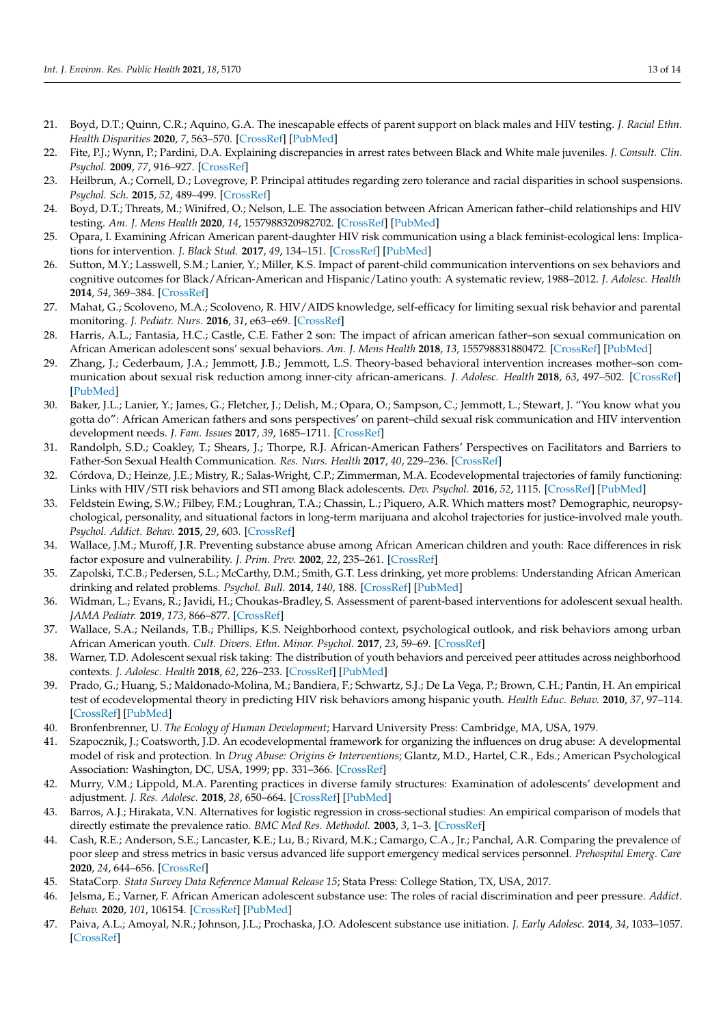- <span id="page-12-0"></span>21. Boyd, D.T.; Quinn, C.R.; Aquino, G.A. The inescapable effects of parent support on black males and HIV testing. *J. Racial Ethn. Health Disparities* **2020**, *7*, 563–570. [\[CrossRef\]](http://doi.org/10.1007/s40615-019-00685-7) [\[PubMed\]](http://www.ncbi.nlm.nih.gov/pubmed/31907873)
- <span id="page-12-1"></span>22. Fite, P.J.; Wynn, P.; Pardini, D.A. Explaining discrepancies in arrest rates between Black and White male juveniles. *J. Consult. Clin. Psychol.* **2009**, *77*, 916–927. [\[CrossRef\]](http://doi.org/10.1037/a0016626)
- <span id="page-12-2"></span>23. Heilbrun, A.; Cornell, D.; Lovegrove, P. Principal attitudes regarding zero tolerance and racial disparities in school suspensions. *Psychol. Sch.* **2015**, *52*, 489–499. [\[CrossRef\]](http://doi.org/10.1002/pits.21838)
- <span id="page-12-3"></span>24. Boyd, D.T.; Threats, M.; Winifred, O.; Nelson, L.E. The association between African American father–child relationships and HIV testing. *Am. J. Mens Health* **2020**, *14*, 1557988320982702. [\[CrossRef\]](http://doi.org/10.1177/1557988320982702) [\[PubMed\]](http://www.ncbi.nlm.nih.gov/pubmed/33356797)
- <span id="page-12-4"></span>25. Opara, I. Examining African American parent-daughter HIV risk communication using a black feminist-ecological lens: Implications for intervention. *J. Black Stud.* **2017**, *49*, 134–151. [\[CrossRef\]](http://doi.org/10.1177/0021934717741900) [\[PubMed\]](http://www.ncbi.nlm.nih.gov/pubmed/31341331)
- <span id="page-12-5"></span>26. Sutton, M.Y.; Lasswell, S.M.; Lanier, Y.; Miller, K.S. Impact of parent-child communication interventions on sex behaviors and cognitive outcomes for Black/African-American and Hispanic/Latino youth: A systematic review, 1988–2012. *J. Adolesc. Health* **2014**, *54*, 369–384. [\[CrossRef\]](http://doi.org/10.1016/j.jadohealth.2013.11.004)
- <span id="page-12-6"></span>27. Mahat, G.; Scoloveno, M.A.; Scoloveno, R. HIV/AIDS knowledge, self-efficacy for limiting sexual risk behavior and parental monitoring. *J. Pediatr. Nurs.* **2016**, *31*, e63–e69. [\[CrossRef\]](http://doi.org/10.1016/j.pedn.2015.06.015)
- <span id="page-12-10"></span>28. Harris, A.L.; Fantasia, H.C.; Castle, C.E. Father 2 son: The impact of african american father–son sexual communication on African American adolescent sons' sexual behaviors. *Am. J. Mens Health* **2018**, *13*, 155798831880472. [\[CrossRef\]](http://doi.org/10.1177/1557988318804725) [\[PubMed\]](http://www.ncbi.nlm.nih.gov/pubmed/30311826)
- <span id="page-12-7"></span>29. Zhang, J.; Cederbaum, J.A.; Jemmott, J.B.; Jemmott, L.S. Theory-based behavioral intervention increases mother–son communication about sexual risk reduction among inner-city african-americans. *J. Adolesc. Health* **2018**, *63*, 497–502. [\[CrossRef\]](http://doi.org/10.1016/j.jadohealth.2018.04.017) [\[PubMed\]](http://www.ncbi.nlm.nih.gov/pubmed/30146434)
- <span id="page-12-8"></span>30. Baker, J.L.; Lanier, Y.; James, G.; Fletcher, J.; Delish, M.; Opara, O.; Sampson, C.; Jemmott, L.; Stewart, J. "You know what you gotta do": African American fathers and sons perspectives' on parent–child sexual risk communication and HIV intervention development needs. *J. Fam. Issues* **2017**, *39*, 1685–1711. [\[CrossRef\]](http://doi.org/10.1177/0192513X17720960)
- <span id="page-12-9"></span>31. Randolph, S.D.; Coakley, T.; Shears, J.; Thorpe, R.J. African-American Fathers' Perspectives on Facilitators and Barriers to Father-Son Sexual Health Communication. *Res. Nurs. Health* **2017**, *40*, 229–236. [\[CrossRef\]](http://doi.org/10.1002/nur.21789)
- <span id="page-12-11"></span>32. Córdova, D.; Heinze, J.E.; Mistry, R.; Salas-Wright, C.P.; Zimmerman, M.A. Ecodevelopmental trajectories of family functioning: Links with HIV/STI risk behaviors and STI among Black adolescents. *Dev. Psychol.* **2016**, *52*, 1115. [\[CrossRef\]](http://doi.org/10.1037/dev0000136) [\[PubMed\]](http://www.ncbi.nlm.nih.gov/pubmed/27253262)
- <span id="page-12-12"></span>33. Feldstein Ewing, S.W.; Filbey, F.M.; Loughran, T.A.; Chassin, L.; Piquero, A.R. Which matters most? Demographic, neuropsychological, personality, and situational factors in long-term marijuana and alcohol trajectories for justice-involved male youth. *Psychol. Addict. Behav.* **2015**, *29*, 603. [\[CrossRef\]](http://doi.org/10.1037/adb0000076)
- 34. Wallace, J.M.; Muroff, J.R. Preventing substance abuse among African American children and youth: Race differences in risk factor exposure and vulnerability. *J. Prim. Prev.* **2002**, *22*, 235–261. [\[CrossRef\]](http://doi.org/10.1023/A:1013617721016)
- <span id="page-12-13"></span>35. Zapolski, T.C.B.; Pedersen, S.L.; McCarthy, D.M.; Smith, G.T. Less drinking, yet more problems: Understanding African American drinking and related problems. *Psychol. Bull.* **2014**, *140*, 188. [\[CrossRef\]](http://doi.org/10.1037/a0032113) [\[PubMed\]](http://www.ncbi.nlm.nih.gov/pubmed/23477449)
- <span id="page-12-14"></span>36. Widman, L.; Evans, R.; Javidi, H.; Choukas-Bradley, S. Assessment of parent-based interventions for adolescent sexual health. *JAMA Pediatr.* **2019**, *173*, 866–877. [\[CrossRef\]](http://doi.org/10.1001/jamapediatrics.2019.2324)
- <span id="page-12-15"></span>37. Wallace, S.A.; Neilands, T.B.; Phillips, K.S. Neighborhood context, psychological outlook, and risk behaviors among urban African American youth. *Cult. Divers. Ethn. Minor. Psychol.* **2017**, *23*, 59–69. [\[CrossRef\]](http://doi.org/10.1037/cdp0000108)
- <span id="page-12-16"></span>38. Warner, T.D. Adolescent sexual risk taking: The distribution of youth behaviors and perceived peer attitudes across neighborhood contexts. *J. Adolesc. Health* **2018**, *62*, 226–233. [\[CrossRef\]](http://doi.org/10.1016/j.jadohealth.2017.09.007) [\[PubMed\]](http://www.ncbi.nlm.nih.gov/pubmed/29217213)
- <span id="page-12-17"></span>39. Prado, G.; Huang, S.; Maldonado-Molina, M.; Bandiera, F.; Schwartz, S.J.; De La Vega, P.; Brown, C.H.; Pantin, H. An empirical test of ecodevelopmental theory in predicting HIV risk behaviors among hispanic youth. *Health Educ. Behav.* **2010**, *37*, 97–114. [\[CrossRef\]](http://doi.org/10.1177/1090198109349218) [\[PubMed\]](http://www.ncbi.nlm.nih.gov/pubmed/20130302)
- <span id="page-12-18"></span>40. Bronfenbrenner, U. *The Ecology of Human Development*; Harvard University Press: Cambridge, MA, USA, 1979.
- <span id="page-12-19"></span>41. Szapocznik, J.; Coatsworth, J.D. An ecodevelopmental framework for organizing the influences on drug abuse: A developmental model of risk and protection. In *Drug Abuse: Origins & Interventions*; Glantz, M.D., Hartel, C.R., Eds.; American Psychological Association: Washington, DC, USA, 1999; pp. 331–366. [\[CrossRef\]](http://doi.org/10.1037/10341-014? )
- <span id="page-12-20"></span>42. Murry, V.M.; Lippold, M.A. Parenting practices in diverse family structures: Examination of adolescents' development and adjustment. *J. Res. Adolesc.* **2018**, *28*, 650–664. [\[CrossRef\]](http://doi.org/10.1111/jora.12390) [\[PubMed\]](http://www.ncbi.nlm.nih.gov/pubmed/30515943)
- <span id="page-12-21"></span>43. Barros, A.J.; Hirakata, V.N. Alternatives for logistic regression in cross-sectional studies: An empirical comparison of models that directly estimate the prevalence ratio. *BMC Med Res. Methodol.* **2003**, *3*, 1–3. [\[CrossRef\]](http://doi.org/10.1186/1471-2288-3-21)
- 44. Cash, R.E.; Anderson, S.E.; Lancaster, K.E.; Lu, B.; Rivard, M.K.; Camargo, C.A., Jr.; Panchal, A.R. Comparing the prevalence of poor sleep and stress metrics in basic versus advanced life support emergency medical services personnel. *Prehospital Emerg. Care* **2020**, *24*, 644–656. [\[CrossRef\]](http://doi.org/10.1080/10903127.2020.1758259)
- <span id="page-12-22"></span>45. StataCorp. *Stata Survey Data Reference Manual Release 15*; Stata Press: College Station, TX, USA, 2017.
- <span id="page-12-23"></span>46. Jelsma, E.; Varner, F. African American adolescent substance use: The roles of racial discrimination and peer pressure. *Addict. Behav.* **2020**, *101*, 106154. [\[CrossRef\]](http://doi.org/10.1016/j.addbeh.2019.106154) [\[PubMed\]](http://www.ncbi.nlm.nih.gov/pubmed/31645003)
- 47. Paiva, A.L.; Amoyal, N.R.; Johnson, J.L.; Prochaska, J.O. Adolescent substance use initiation. *J. Early Adolesc.* **2014**, *34*, 1033–1057. [\[CrossRef\]](http://doi.org/10.1177/0272431613519497)